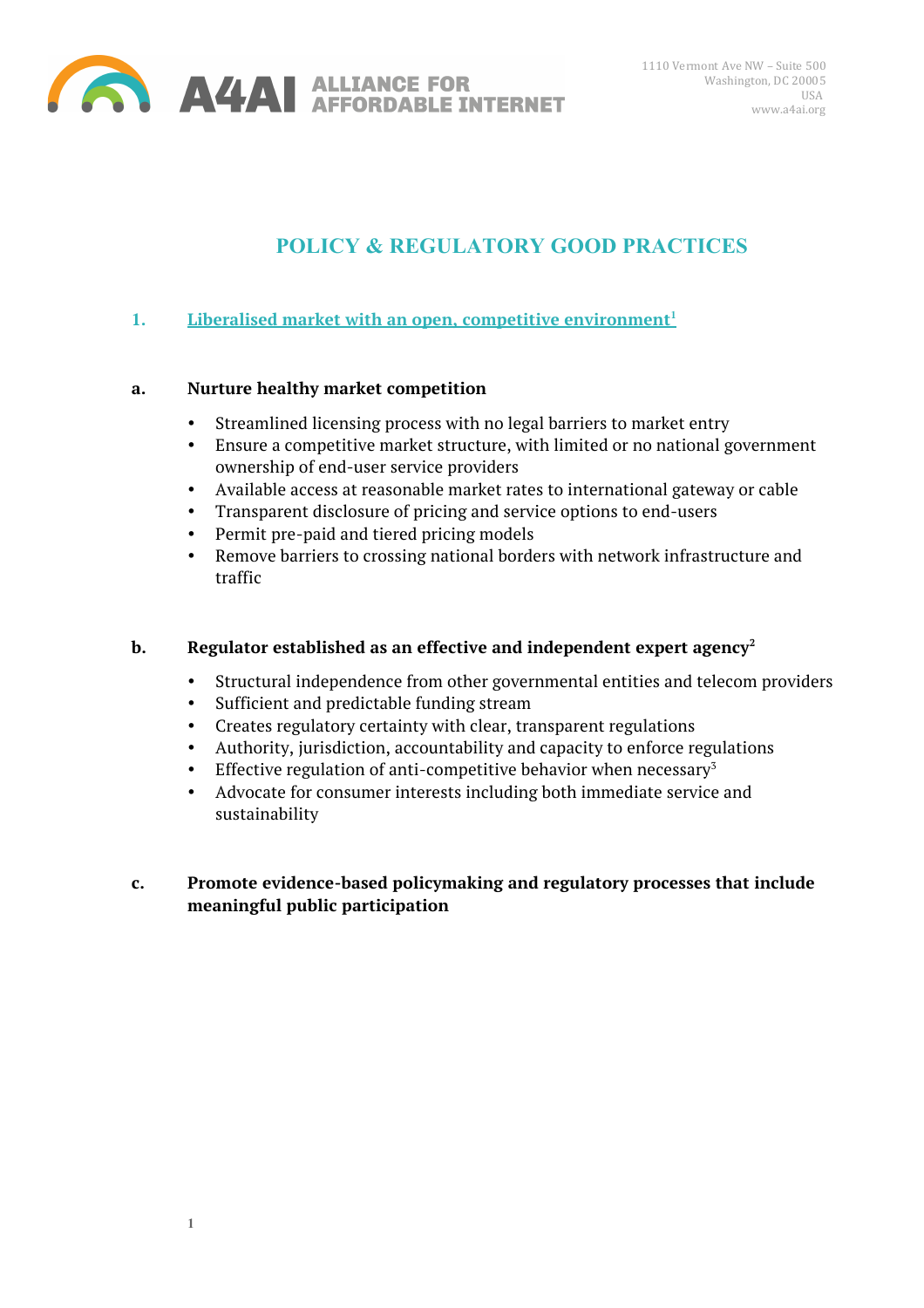

# **POLICY & REGULATORY GOOD PRACTICES**

# **1. Liberalised market with an open, competitive environment**<sup>1</sup>

#### **a. Nurture healthy market competition**

- Streamlined licensing process with no legal barriers to market entry
- Ensure a competitive market structure, with limited or no national government ownership of end-user service providers
- Available access at reasonable market rates to international gateway or cable
- Transparent disclosure of pricing and service options to end-users
- Permit pre-paid and tiered pricing models
- Remove barriers to crossing national borders with network infrastructure and traffic

## **b.** Regulator established as an effective and independent expert agency<sup>2</sup>

- Structural independence from other governmental entities and telecom providers
- Sufficient and predictable funding stream
- Creates regulatory certainty with clear, transparent regulations
- Authority, jurisdiction, accountability and capacity to enforce regulations
- Effective regulation of anti-competitive behavior when necessary<sup>3</sup>
- Advocate for consumer interests including both immediate service and sustainability

# **c. Promote evidence-based policymaking and regulatory processes that include meaningful public participation**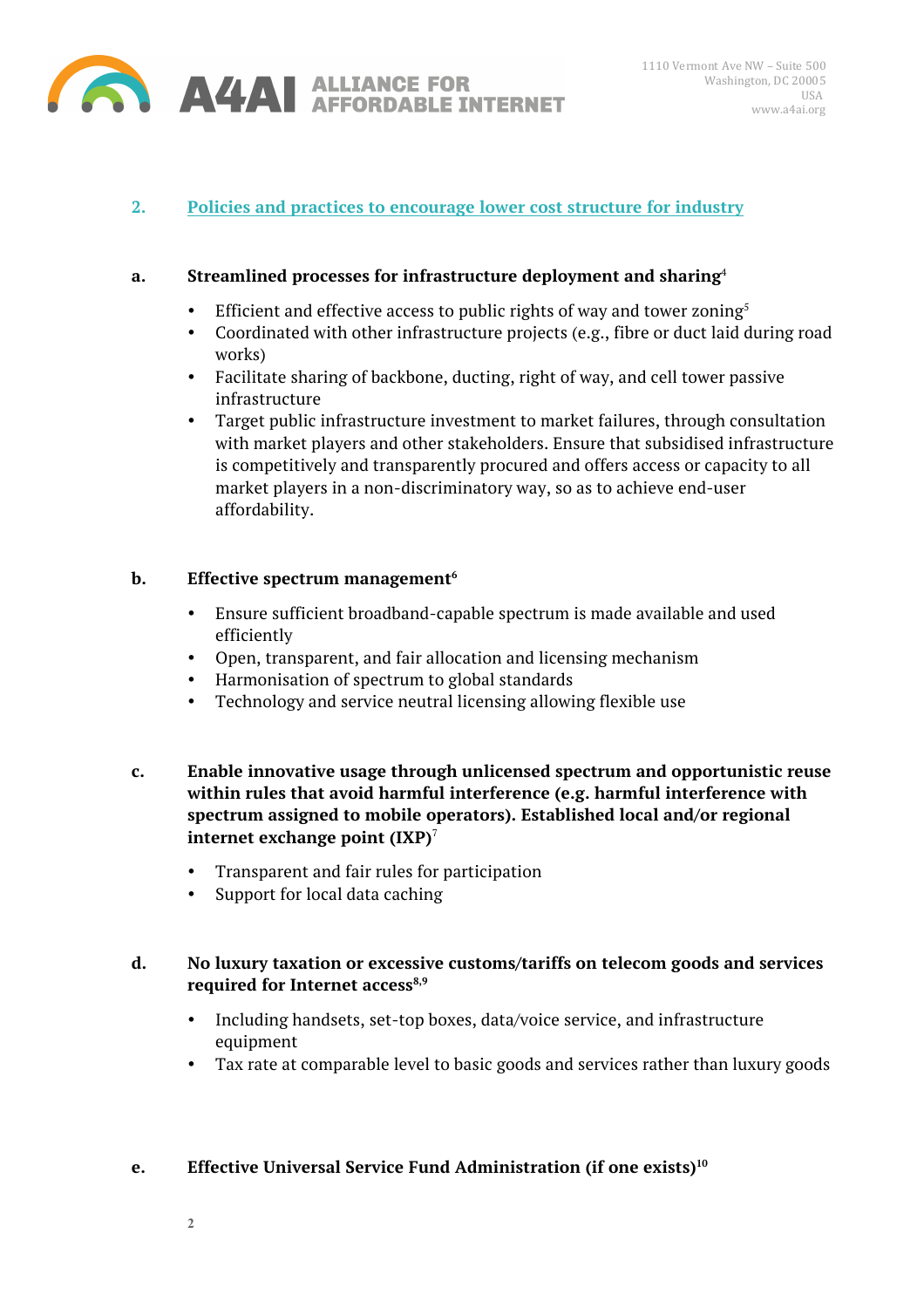

# **2. Policies and practices to encourage lower cost structure for industry**

#### **a. Streamlined processes for infrastructure deployment and sharing**<sup>4</sup>

- Efficient and effective access to public rights of way and tower zoning<sup>5</sup>
- Coordinated with other infrastructure projects (e.g., fibre or duct laid during road works)
- Facilitate sharing of backbone, ducting, right of way, and cell tower passive infrastructure
- Target public infrastructure investment to market failures, through consultation with market players and other stakeholders. Ensure that subsidised infrastructure is competitively and transparently procured and offers access or capacity to all market players in a non-discriminatory way, so as to achieve end-user affordability.

#### **b.** Effective spectrum management<sup>6</sup>

- Ensure sufficient broadband-capable spectrum is made available and used efficiently
- Open, transparent, and fair allocation and licensing mechanism
- Harmonisation of spectrum to global standards
- Technology and service neutral licensing allowing flexible use
- **c. Enable innovative usage through unlicensed spectrum and opportunistic reuse within rules that avoid harmful interference (e.g. harmful interference with spectrum assigned to mobile operators). Established local and/or regional internet exchange point (IXP)**<sup>7</sup>
	- Transparent and fair rules for participation
	- Support for local data caching

## **d. No luxury taxation or excessive customs/tariffs on telecom goods and services**  required for Internet access<sup>8,9</sup>

- Including handsets, set-top boxes, data/voice service, and infrastructure equipment
- Tax rate at comparable level to basic goods and services rather than luxury goods

#### **e. Effective Universal Service Fund Administration (if one exists)<sup>10</sup>**

**2**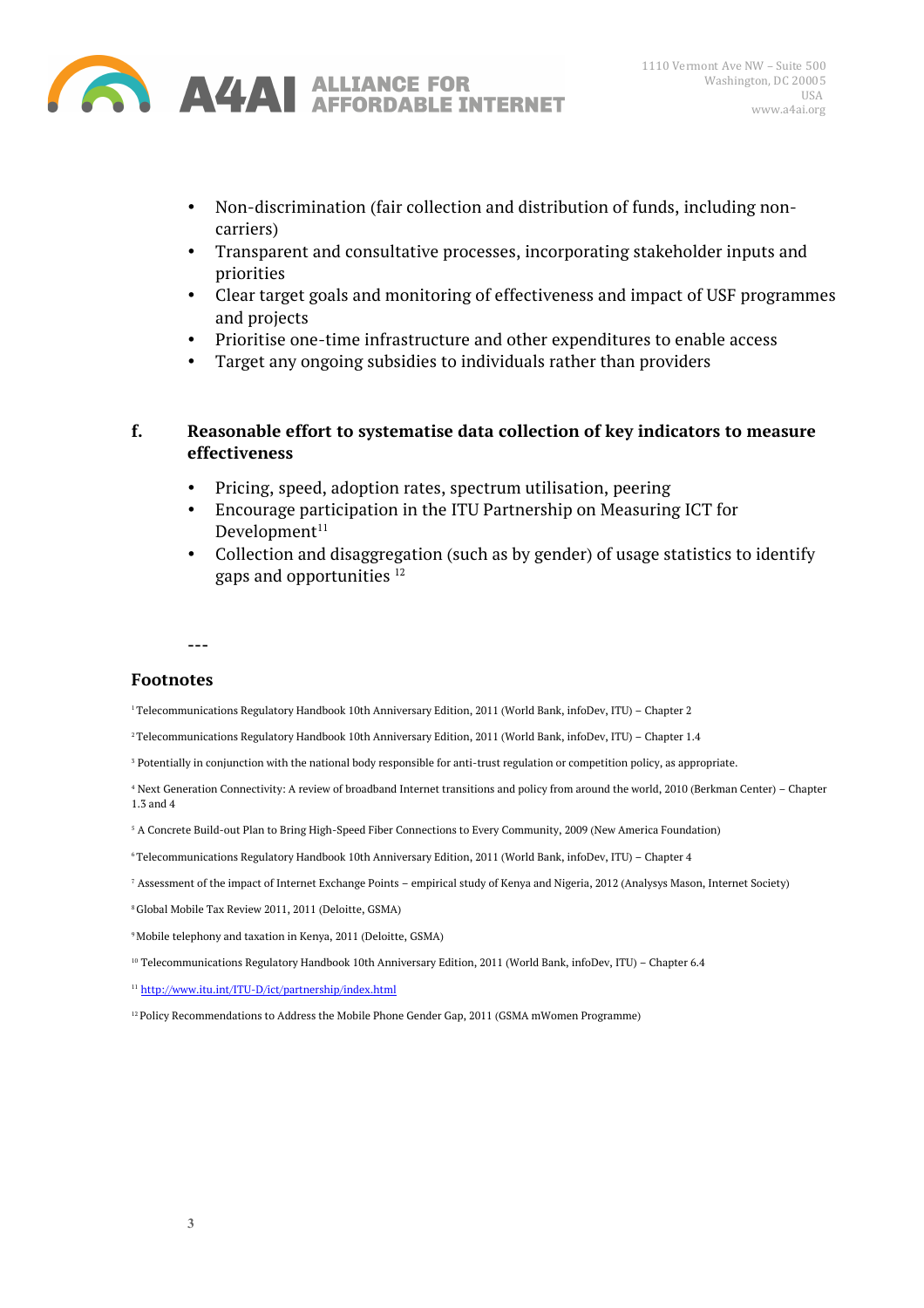

- Non-discrimination (fair collection and distribution of funds, including noncarriers)
- Transparent and consultative processes, incorporating stakeholder inputs and priorities
- Clear target goals and monitoring of effectiveness and impact of USF programmes and projects
- Prioritise one-time infrastructure and other expenditures to enable access
- Target any ongoing subsidies to individuals rather than providers

#### **f. Reasonable effort to systematise data collection of key indicators to measure effectiveness**

- Pricing, speed, adoption rates, spectrum utilisation, peering
- Encourage participation in the ITU Partnership on Measuring ICT for  $D$ evelopment $11$
- Collection and disaggregation (such as by gender) of usage statistics to identify gaps and opportunities 12

**---**

#### **Footnotes**

1 Telecommunications Regulatory Handbook 10th Anniversary Edition, 2011 (World Bank, infoDev, ITU) – Chapter 2

- 2 Telecommunications Regulatory Handbook 10th Anniversary Edition, 2011 (World Bank, infoDev, ITU) Chapter 1.4
- <sup>3</sup> Potentially in conjunction with the national body responsible for anti-trust regulation or competition policy, as appropriate.
- <sup>4</sup> Next Generation Connectivity: A review of broadband Internet transitions and policy from around the world, 2010 (Berkman Center) Chapter 1.3 and 4
- <sup>5</sup> A Concrete Build-out Plan to Bring High-Speed Fiber Connections to Every Community, 2009 (New America Foundation)
- 6 Telecommunications Regulatory Handbook 10th Anniversary Edition, 2011 (World Bank, infoDev, ITU) Chapter 4
- <sup>7</sup> Assessment of the impact of Internet Exchange Points empirical study of Kenya and Nigeria, 2012 (Analysys Mason, Internet Society)
- 8 Global Mobile Tax Review 2011, 2011 (Deloitte, GSMA)
- 9 Mobile telephony and taxation in Kenya, 2011 (Deloitte, GSMA)
- <sup>10</sup> Telecommunications Regulatory Handbook 10th Anniversary Edition, 2011 (World Bank, infoDev, ITU) Chapter 6.4
- <sup>11</sup> http://www.itu.int/ITU-D/ict/partnership/index.html
- $12$  Policy Recommendations to Address the Mobile Phone Gender Gap, 2011 (GSMA mWomen Programme)